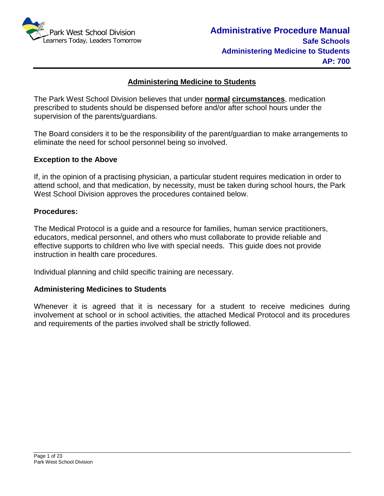

#### **Administering Medicine to Students**

The Park West School Division believes that under **normal circumstances**, medication prescribed to students should be dispensed before and/or after school hours under the supervision of the parents/guardians.

The Board considers it to be the responsibility of the parent/guardian to make arrangements to eliminate the need for school personnel being so involved.

#### **Exception to the Above**

If, in the opinion of a practising physician, a particular student requires medication in order to attend school, and that medication, by necessity, must be taken during school hours, the Park West School Division approves the procedures contained below.

#### **Procedures:**

The Medical Protocol is a guide and a resource for families, human service practitioners, educators, medical personnel, and others who must collaborate to provide reliable and effective supports to children who live with special needs. This guide does not provide instruction in health care procedures.

Individual planning and child specific training are necessary.

#### **Administering Medicines to Students**

Whenever it is agreed that it is necessary for a student to receive medicines during involvement at school or in school activities, the attached Medical Protocol and its procedures and requirements of the parties involved shall be strictly followed.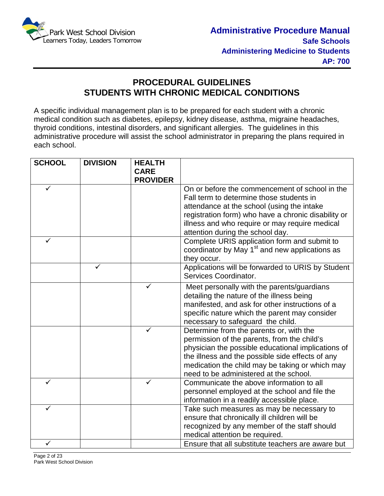

## **PROCEDURAL GUIDELINES STUDENTS WITH CHRONIC MEDICAL CONDITIONS**

A specific individual management plan is to be prepared for each student with a chronic medical condition such as diabetes, epilepsy, kidney disease, asthma, migraine headaches, thyroid conditions, intestinal disorders, and significant allergies. The guidelines in this administrative procedure will assist the school administrator in preparing the plans required in each school.

| <b>SCHOOL</b> | <b>DIVISION</b> | <b>HEALTH</b>   |                                                                                                       |
|---------------|-----------------|-----------------|-------------------------------------------------------------------------------------------------------|
|               |                 | <b>CARE</b>     |                                                                                                       |
|               |                 | <b>PROVIDER</b> |                                                                                                       |
|               |                 |                 | On or before the commencement of school in the                                                        |
|               |                 |                 | Fall term to determine those students in                                                              |
|               |                 |                 | attendance at the school (using the intake                                                            |
|               |                 |                 | registration form) who have a chronic disability or<br>illness and who require or may require medical |
|               |                 |                 | attention during the school day.                                                                      |
|               |                 |                 | Complete URIS application form and submit to                                                          |
|               |                 |                 | coordinator by May 1 <sup>st</sup> and new applications as                                            |
|               |                 |                 | they occur.                                                                                           |
|               |                 |                 | Applications will be forwarded to URIS by Student                                                     |
|               |                 |                 | Services Coordinator.                                                                                 |
|               |                 |                 | Meet personally with the parents/guardians                                                            |
|               |                 |                 | detailing the nature of the illness being                                                             |
|               |                 |                 | manifested, and ask for other instructions of a                                                       |
|               |                 |                 | specific nature which the parent may consider                                                         |
|               |                 |                 | necessary to safeguard the child.                                                                     |
|               |                 |                 | Determine from the parents or, with the<br>permission of the parents, from the child's                |
|               |                 |                 | physician the possible educational implications of                                                    |
|               |                 |                 | the illness and the possible side effects of any                                                      |
|               |                 |                 | medication the child may be taking or which may                                                       |
|               |                 |                 | need to be administered at the school.                                                                |
| ✓             |                 | ✓               | Communicate the above information to all                                                              |
|               |                 |                 | personnel employed at the school and file the                                                         |
|               |                 |                 | information in a readily accessible place.                                                            |
| ✓             |                 |                 | Take such measures as may be necessary to                                                             |
|               |                 |                 | ensure that chronically ill children will be                                                          |
|               |                 |                 | recognized by any member of the staff should                                                          |
|               |                 |                 | medical attention be required.                                                                        |
| ✓             |                 |                 | Ensure that all substitute teachers are aware but                                                     |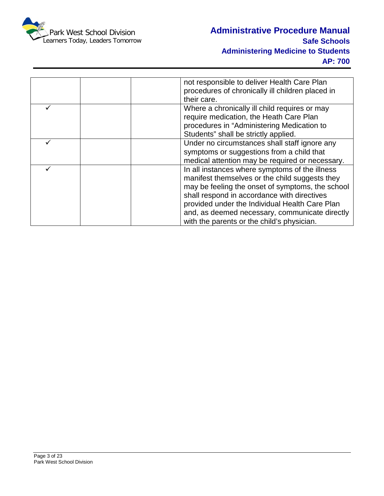

| not responsible to deliver Health Care Plan<br>procedures of chronically ill children placed in |
|-------------------------------------------------------------------------------------------------|
| their care.                                                                                     |
| Where a chronically ill child requires or may                                                   |
| require medication, the Heath Care Plan                                                         |
| procedures in "Administering Medication to                                                      |
| Students" shall be strictly applied.                                                            |
| Under no circumstances shall staff ignore any                                                   |
| symptoms or suggestions from a child that                                                       |
| medical attention may be required or necessary.                                                 |
| In all instances where symptoms of the illness                                                  |
| manifest themselves or the child suggests they                                                  |
| may be feeling the onset of symptoms, the school                                                |
| shall respond in accordance with directives                                                     |
| provided under the Individual Health Care Plan                                                  |
| and, as deemed necessary, communicate directly                                                  |
| with the parents or the child's physician.                                                      |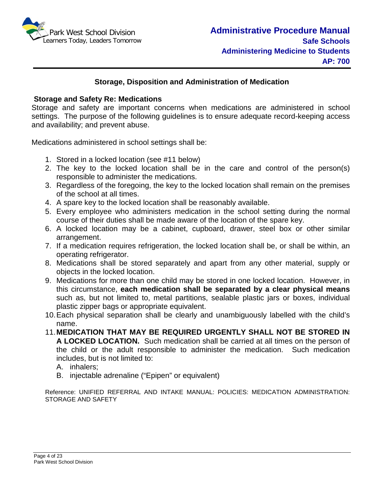

#### **Storage, Disposition and Administration of Medication**

#### **Storage and Safety Re: Medications**

Storage and safety are important concerns when medications are administered in school settings. The purpose of the following guidelines is to ensure adequate record-keeping access and availability; and prevent abuse.

Medications administered in school settings shall be:

- 1. Stored in a locked location (see #11 below)
- 2. The key to the locked location shall be in the care and control of the person(s) responsible to administer the medications.
- 3. Regardless of the foregoing, the key to the locked location shall remain on the premises of the school at all times.
- 4. A spare key to the locked location shall be reasonably available.
- 5. Every employee who administers medication in the school setting during the normal course of their duties shall be made aware of the location of the spare key.
- 6. A locked location may be a cabinet, cupboard, drawer, steel box or other similar arrangement.
- 7. If a medication requires refrigeration, the locked location shall be, or shall be within, an operating refrigerator.
- 8. Medications shall be stored separately and apart from any other material, supply or objects in the locked location.
- 9. Medications for more than one child may be stored in one locked location. However, in this circumstance, **each medication shall be separated by a clear physical means** such as, but not limited to, metal partitions, sealable plastic jars or boxes, individual plastic zipper bags or appropriate equivalent.
- 10.Each physical separation shall be clearly and unambiguously labelled with the child's name.
- 11.**MEDICATION THAT MAY BE REQUIRED URGENTLY SHALL NOT BE STORED IN A LOCKED LOCATION.** Such medication shall be carried at all times on the person of the child or the adult responsible to administer the medication. Such medication includes, but is not limited to:
	- A. inhalers;
	- B. injectable adrenaline ("Epipen" or equivalent)

Reference: UNIFIED REFERRAL AND INTAKE MANUAL: POLICIES: MEDICATION ADMINISTRATION: STORAGE AND SAFETY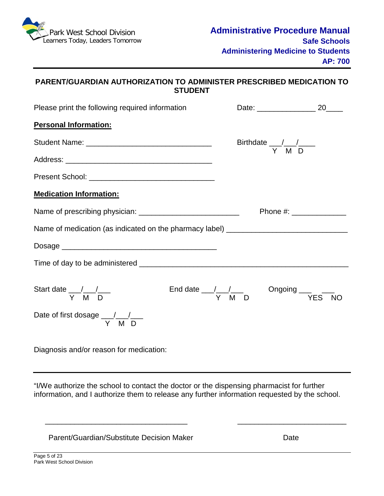

#### **PARENT/GUARDIAN AUTHORIZATION TO ADMINISTER PRESCRIBED MEDICATION TO STUDENT**

| Please print the following required information                                   |                                                              |           |  |  |
|-----------------------------------------------------------------------------------|--------------------------------------------------------------|-----------|--|--|
| <b>Personal Information:</b>                                                      |                                                              |           |  |  |
|                                                                                   | Birthdate $\frac{1}{\gamma}$ M D                             |           |  |  |
|                                                                                   |                                                              |           |  |  |
|                                                                                   |                                                              |           |  |  |
| <b>Medication Information:</b>                                                    |                                                              |           |  |  |
|                                                                                   |                                                              |           |  |  |
| Name of medication (as indicated on the pharmacy label) _________________________ |                                                              |           |  |  |
|                                                                                   |                                                              |           |  |  |
|                                                                                   |                                                              |           |  |  |
| Start date $\frac{1}{Y}$ M D                                                      | End date $\frac{1}{Y}$ $\frac{1}{M}$ D Ongoing $\frac{1}{Y}$ | <b>NO</b> |  |  |
| Date of first dosage $\frac{1}{Y}$ M D                                            |                                                              |           |  |  |

Diagnosis and/or reason for medication:

"I/We authorize the school to contact the doctor or the dispensing pharmacist for further information, and I authorize them to release any further information requested by the school.

\_\_\_\_\_\_\_\_\_\_\_\_\_\_\_\_\_\_\_\_\_\_\_\_\_\_\_\_\_\_\_\_\_\_ \_\_\_\_\_\_\_\_\_\_\_\_\_\_\_\_\_\_\_\_\_\_\_\_\_\_

Parent/Guardian/Substitute Decision Maker National Contract Date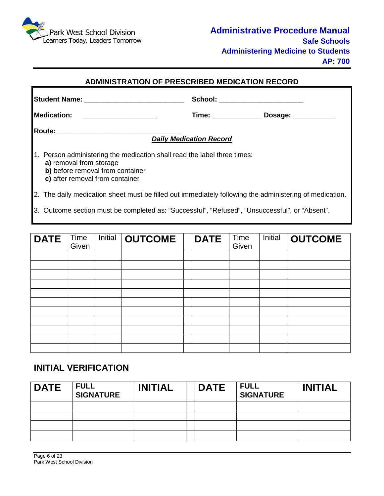

#### **ADMINISTRATION OF PRESCRIBED MEDICATION RECORD**

|                                                                                                                                                                            |                                | School: _______________________ |  |  |
|----------------------------------------------------------------------------------------------------------------------------------------------------------------------------|--------------------------------|---------------------------------|--|--|
| Medication: __________________                                                                                                                                             |                                |                                 |  |  |
| Route: _______________________________                                                                                                                                     | <b>Daily Medication Record</b> |                                 |  |  |
| 1. Person administering the medication shall read the label three times:<br>a) removal from storage<br>b) before removal from container<br>c) after removal from container |                                |                                 |  |  |
| 2. The daily medication sheet must be filled out immediately following the administering of medication.                                                                    |                                |                                 |  |  |
| 3. Outcome section must be completed as: "Successful", "Refused", "Unsuccessful", or "Absent".                                                                             |                                |                                 |  |  |

| <b>DATE</b> | Time<br>Given | Initial | <b>OUTCOME</b> | <b>DATE</b> | Time<br>Given | Initial | <b>OUTCOME</b> |
|-------------|---------------|---------|----------------|-------------|---------------|---------|----------------|
|             |               |         |                |             |               |         |                |
|             |               |         |                |             |               |         |                |
|             |               |         |                |             |               |         |                |
|             |               |         |                |             |               |         |                |
|             |               |         |                |             |               |         |                |
|             |               |         |                |             |               |         |                |
|             |               |         |                |             |               |         |                |
|             |               |         |                |             |               |         |                |
|             |               |         |                |             |               |         |                |
|             |               |         |                |             |               |         |                |
|             |               |         |                |             |               |         |                |

## **INITIAL VERIFICATION**

| <b>DATE</b> | <b>FULL</b><br><b>SIGNATURE</b> | <b>INITIAL</b> | <b>DATE</b> | <b>FULL</b><br><b>SIGNATURE</b> | <b>INITIAL</b> |
|-------------|---------------------------------|----------------|-------------|---------------------------------|----------------|
|             |                                 |                |             |                                 |                |
|             |                                 |                |             |                                 |                |
|             |                                 |                |             |                                 |                |
|             |                                 |                |             |                                 |                |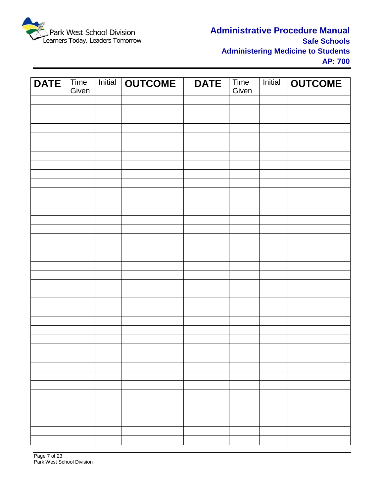

## **Administrative Procedure Manual Safe Schools Administering Medicine to Students AP: 700**

| <b>DATE</b> | $\overline{\text{Time}}$<br>Given | Initial | <b>OUTCOME</b> | <b>DATE</b> | Time<br>Given | <b>Initial</b> | <b>OUTCOME</b> |
|-------------|-----------------------------------|---------|----------------|-------------|---------------|----------------|----------------|
|             |                                   |         |                |             |               |                |                |
|             |                                   |         |                |             |               |                |                |
|             |                                   |         |                |             |               |                |                |
|             |                                   |         |                |             |               |                |                |
|             |                                   |         |                |             |               |                |                |
|             |                                   |         |                |             |               |                |                |
|             |                                   |         |                |             |               |                |                |
|             |                                   |         |                |             |               |                |                |
|             |                                   |         |                |             |               |                |                |
|             |                                   |         |                |             |               |                |                |
|             |                                   |         |                |             |               |                |                |
|             |                                   |         |                |             |               |                |                |
|             |                                   |         |                |             |               |                |                |
|             |                                   |         |                |             |               |                |                |
|             |                                   |         |                |             |               |                |                |
|             |                                   |         |                |             |               |                |                |
|             |                                   |         |                |             |               |                |                |
|             |                                   |         |                |             |               |                |                |
|             |                                   |         |                |             |               |                |                |
|             |                                   |         |                |             |               |                |                |
|             |                                   |         |                |             |               |                |                |
|             |                                   |         |                |             |               |                |                |
|             |                                   |         |                |             |               |                |                |
|             |                                   |         |                |             |               |                |                |
|             |                                   |         |                |             |               |                |                |
|             |                                   |         |                |             |               |                |                |
|             |                                   |         |                |             |               |                |                |
|             |                                   |         |                |             |               |                |                |
|             |                                   |         |                |             |               |                |                |
|             |                                   |         |                |             |               |                |                |
|             |                                   |         |                |             |               |                |                |
|             |                                   |         |                |             |               |                |                |
|             |                                   |         |                |             |               |                |                |
|             |                                   |         |                |             |               |                |                |
|             |                                   |         |                |             |               |                |                |
|             |                                   |         |                |             |               |                |                |
|             |                                   |         |                |             |               |                |                |
|             |                                   |         |                |             |               |                |                |
|             |                                   |         |                |             |               |                |                |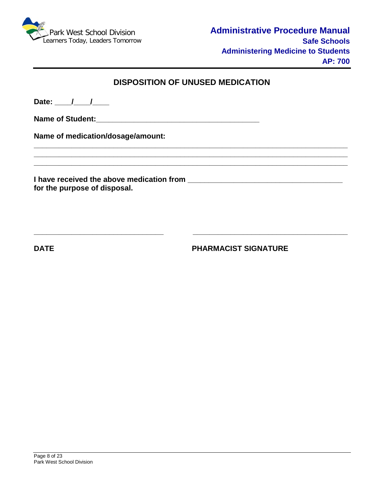

## **DISPOSITION OF UNUSED MEDICATION**

**\_\_\_\_\_\_\_\_\_\_\_\_\_\_\_\_\_\_\_\_\_\_\_\_\_\_\_\_\_\_\_\_\_\_\_\_\_\_\_\_\_\_\_\_\_\_\_\_\_\_\_\_\_\_\_\_\_\_\_\_\_\_\_\_\_\_\_\_\_\_\_\_\_\_\_ \_\_\_\_\_\_\_\_\_\_\_\_\_\_\_\_\_\_\_\_\_\_\_\_\_\_\_\_\_\_\_\_\_\_\_\_\_\_\_\_\_\_\_\_\_\_\_\_\_\_\_\_\_\_\_\_\_\_\_\_\_\_\_\_\_\_\_\_\_\_\_\_\_\_\_ \_\_\_\_\_\_\_\_\_\_\_\_\_\_\_\_\_\_\_\_\_\_\_\_\_\_\_\_\_\_\_\_\_\_\_\_\_\_\_\_\_\_\_\_\_\_\_\_\_\_\_\_\_\_\_\_\_\_\_\_\_\_\_\_\_\_\_\_\_\_\_\_\_\_\_**

**\_\_\_\_\_\_\_\_\_\_\_\_\_\_\_\_\_\_\_\_\_\_\_\_\_\_\_\_\_\_\_ \_\_\_\_\_\_\_\_\_\_\_\_\_\_\_\_\_\_\_\_\_\_\_\_\_\_\_\_\_\_\_\_\_\_\_\_\_**

Date: <u>\_\_\_\_/ \_\_\_/ \_\_</u>

**Name of Student:\_\_\_\_\_\_\_\_\_\_\_\_\_\_\_\_\_\_\_\_\_\_\_\_\_\_\_\_\_\_\_\_\_\_\_\_\_\_\_**

**Name of medication/dosage/amount:** 

**I have received the above medication from \_\_\_\_\_\_\_\_\_\_\_\_\_\_\_\_\_\_\_\_\_\_\_\_\_\_\_\_\_\_\_\_\_\_\_\_\_ for the purpose of disposal.**

**DATE PHARMACIST SIGNATURE**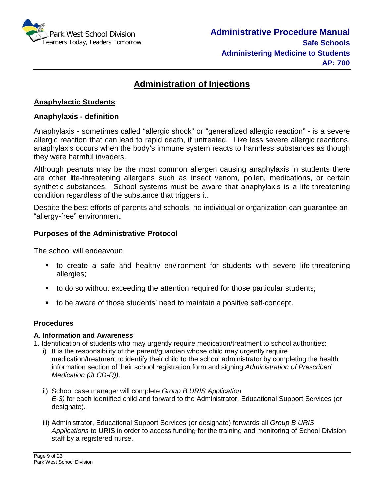

# **Administration of Injections**

#### **Anaphylactic Students**

#### **Anaphylaxis - definition**

Anaphylaxis - sometimes called "allergic shock" or "generalized allergic reaction" - is a severe allergic reaction that can lead to rapid death, if untreated. Like less severe allergic reactions, anaphylaxis occurs when the body's immune system reacts to harmless substances as though they were harmful invaders.

Although peanuts may be the most common allergen causing anaphylaxis in students there are other life-threatening allergens such as insect venom, pollen, medications, or certain synthetic substances. School systems must be aware that anaphylaxis is a life-threatening condition regardless of the substance that triggers it.

Despite the best efforts of parents and schools, no individual or organization can guarantee an "allergy-free" environment.

#### **Purposes of the Administrative Protocol**

The school will endeavour:

- to create a safe and healthy environment for students with severe life-threatening allergies;
- to do so without exceeding the attention required for those particular students;
- to be aware of those students' need to maintain a positive self-concept.

#### **Procedures**

#### **A. Information and Awareness**

1. Identification of students who may urgently require medication/treatment to school authorities:

- i) It is the responsibility of the parent/guardian whose child may urgently require medication/treatment to identify their child to the school administrator by completing the health information section of their school registration form and signing *Administration of Prescribed Medication (JLCD-R)).*
- ii) School case manager will complete *Group B URIS Application E-3)* for each identified child and forward to the Administrator, Educational Support Services (or designate).
- iii) Administrator, Educational Support Services (or designate) forwards all *Group B URIS Applications* to URIS in order to access funding for the training and monitoring of School Division staff by a registered nurse.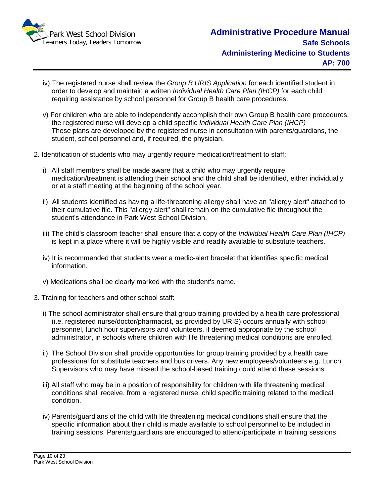

- iv) The registered nurse shall review the *Group B URIS Application* for each identified student in order to develop and maintain a written *Individual Health Care Plan (IHCP)* for each child requiring assistance by school personnel for Group B health care procedures.
- v) For children who are able to independently accomplish their own Group B health care procedures, the registered nurse will develop a child specific *Individual Health Care Plan (IHCP)* These plans are developed by the registered nurse in consultation with parents/guardians, the student, school personnel and, if required, the physician.
- 2. Identification of students who may urgently require medication/treatment to staff:
	- i) All staff members shall be made aware that a child who may urgently require medication/treatment is attending their school and the child shall be identified, either individually or at a staff meeting at the beginning of the school year.
	- ii) All students identified as having a life-threatening allergy shall have an "allergy alert" attached to their cumulative file. This "allergy alert" shall remain on the cumulative file throughout the student's attendance in Park West School Division.
	- iii) The child's classroom teacher shall ensure that a copy of the *Individual Health Care Plan (IHCP)*  is kept in a place where it will be highly visible and readily available to substitute teachers.
	- iv) It is recommended that students wear a medic-alert bracelet that identifies specific medical information.
	- v) Medications shall be clearly marked with the student's name.
- 3. Training for teachers and other school staff:
	- i) The school administrator shall ensure that group training provided by a health care professional (i.e. registered nurse/doctor/pharmacist, as provided by URIS) occurs annually with school personnel, lunch hour supervisors and volunteers, if deemed appropriate by the school administrator, in schools where children with life threatening medical conditions are enrolled.
	- ii) The School Division shall provide opportunities for group training provided by a health care professional for substitute teachers and bus drivers. Any new employees/volunteers e.g. Lunch Supervisors who may have missed the school-based training could attend these sessions.
	- iii) All staff who may be in a position of responsibility for children with life threatening medical conditions shall receive, from a registered nurse, child specific training related to the medical condition.
	- iv) Parents/guardians of the child with life threatening medical conditions shall ensure that the specific information about their child is made available to school personnel to be included in training sessions. Parents/guardians are encouraged to attend/participate in training sessions.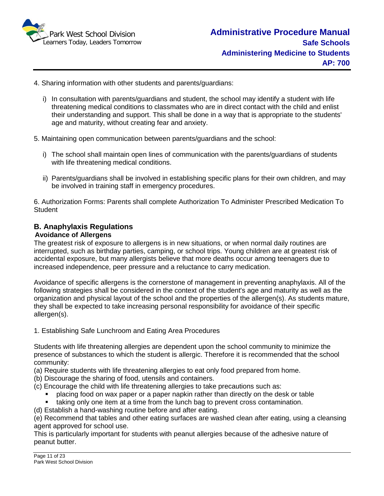

- 4. Sharing information with other students and parents/guardians:
	- i) In consultation with parents/guardians and student, the school may identify a student with life threatening medical conditions to classmates who are in direct contact with the child and enlist their understanding and support. This shall be done in a way that is appropriate to the students' age and maturity, without creating fear and anxiety.
- 5. Maintaining open communication between parents/guardians and the school:
	- i) The school shall maintain open lines of communication with the parents/guardians of students with life threatening medical conditions.
	- ii) Parents/guardians shall be involved in establishing specific plans for their own children, and may be involved in training staff in emergency procedures.

6. Authorization Forms: Parents shall complete Authorization To Administer Prescribed Medication To **Student** 

#### **B. Anaphylaxis Regulations Avoidance of Allergens**

# The greatest risk of exposure to allergens is in new situations, or when normal daily routines are

interrupted, such as birthday parties, camping, or school trips. Young children are at greatest risk of accidental exposure, but many allergists believe that more deaths occur among teenagers due to increased independence, peer pressure and a reluctance to carry medication.

Avoidance of specific allergens is the cornerstone of management in preventing anaphylaxis. All of the following strategies shall be considered in the context of the student's age and maturity as well as the organization and physical layout of the school and the properties of the allergen(s). As students mature, they shall be expected to take increasing personal responsibility for avoidance of their specific allergen(s).

1. Establishing Safe Lunchroom and Eating Area Procedures

Students with life threatening allergies are dependent upon the school community to minimize the presence of substances to which the student is allergic. Therefore it is recommended that the school community:

- (a) Require students with life threatening allergies to eat only food prepared from home.
- (b) Discourage the sharing of food, utensils and containers.
- (c) Encourage the child with life threatening allergies to take precautions such as:
	- placing food on wax paper or a paper napkin rather than directly on the desk or table
	- taking only one item at a time from the lunch bag to prevent cross contamination.
- (d) Establish a hand-washing routine before and after eating.

(e) Recommend that tables and other eating surfaces are washed clean after eating, using a cleansing agent approved for school use.

This is particularly important for students with peanut allergies because of the adhesive nature of peanut butter.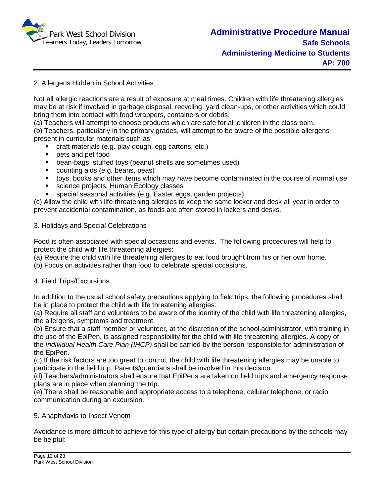

#### 2. Allergens Hidden in School Activities

Not all allergic reactions are a result of exposure at meal times. Children with life threatening allergies may be at risk if involved in garbage disposal, recycling, yard clean-ups, or other activities which could bring them into contact with food wrappers, containers or debris.

(a) Teachers will attempt to choose products which are safe for all children in the classroom.

(b) Teachers, particularly in the primary grades, will attempt to be aware of the possible allergens present in curricular materials such as:

- craft materials (e.g. play dough, egg cartons, etc.)
- **pets and pet food**
- bean-bags, stuffed toys (peanut shells are sometimes used)
- counting aids (e.g. beans, peas)
- toys, books and other items which may have become contaminated in the course of normal use
- **science projects, Human Ecology classes**
- special seasonal activities (e.g. Easter eggs, garden projects)

(c) Allow the child with life threatening allergies to keep the same locker and desk all year in order to prevent accidental contamination, as foods are often stored in lockers and desks.

#### 3. Holidays and Special Celebrations

Food is often associated with special occasions and events. The following procedures will help to protect the child with life threatening allergies:

(a) Require the child with life threatening allergies to eat food brought from his or her own home.

(b) Focus on activities rather than food to celebrate special occasions.

#### 4. Field Trips/Excursions

In addition to the usual school safety precautions applying to field trips, the following procedures shall be in place to protect the child with life threatening allergies:

(a) Require all staff and volunteers to be aware of the identity of the child with life threatening allergies, the allergens, symptoms and treatment.

(b) Ensure that a staff member or volunteer, at the discretion of the school administrator, with training in the use of the EpiPen, is assigned responsibility for the child with life threatening allergies. A copy of the *Individual Health Care Plan (IHCP)* shall be carried by the person responsible for administration of the EpiPen.

(c) If the risk factors are too great to control, the child with life threatening allergies may be unable to participate in the field trip. Parents/guardians shall be involved in this decision.

(d) Teachers/administrators shall ensure that EpiPens are taken on field trips and emergency response plans are in place when planning the trip.

(e) There shall be reasonable and appropriate access to a telephone, cellular telephone, or radio communication during an excursion.

#### 5. Anaphylaxis to Insect Venom

Avoidance is more difficult to achieve for this type of allergy but certain precautions by the schools may be helpful: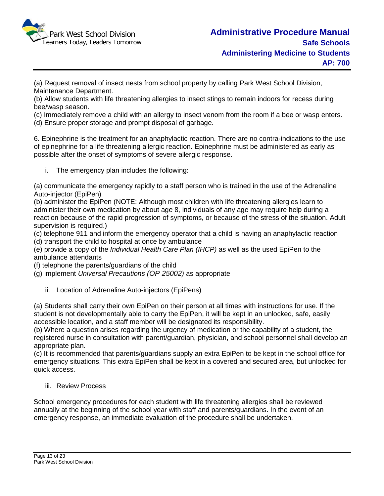

(a) Request removal of insect nests from school property by calling Park West School Division, Maintenance Department.

(b) Allow students with life threatening allergies to insect stings to remain indoors for recess during bee/wasp season.

(c) Immediately remove a child with an allergy to insect venom from the room if a bee or wasp enters. (d) Ensure proper storage and prompt disposal of garbage.

6. Epinephrine is the treatment for an anaphylactic reaction. There are no contra-indications to the use of epinephrine for a life threatening allergic reaction. Epinephrine must be administered as early as possible after the onset of symptoms of severe allergic response.

i. The emergency plan includes the following:

(a) communicate the emergency rapidly to a staff person who is trained in the use of the Adrenaline Auto-injector (EpiPen)

(b) administer the EpiPen (NOTE: Although most children with life threatening allergies learn to administer their own medication by about age 8, individuals of any age may require help during a reaction because of the rapid progression of symptoms, or because of the stress of the situation. Adult supervision is required.)

(c) telephone 911 and inform the emergency operator that a child is having an anaphylactic reaction (d) transport the child to hospital at once by ambulance

(e) provide a copy of the *Individual Health Care Plan (IHCP)* as well as the used EpiPen to the ambulance attendants

(f) telephone the parents/guardians of the child

(g) implement *Universal Precautions (OP 25002)* as appropriate

ii. Location of Adrenaline Auto-injectors (EpiPens)

(a) Students shall carry their own EpiPen on their person at all times with instructions for use. If the student is not developmentally able to carry the EpiPen, it will be kept in an unlocked, safe, easily accessible location, and a staff member will be designated its responsibility.

(b) Where a question arises regarding the urgency of medication or the capability of a student, the registered nurse in consultation with parent/guardian, physician, and school personnel shall develop an appropriate plan.

(c) It is recommended that parents/guardians supply an extra EpiPen to be kept in the school office for emergency situations. This extra EpiPen shall be kept in a covered and secured area, but unlocked for quick access.

#### iii. Review Process

 School emergency procedures for each student with life threatening allergies shall be reviewed annually at the beginning of the school year with staff and parents/guardians. In the event of an emergency response, an immediate evaluation of the procedure shall be undertaken.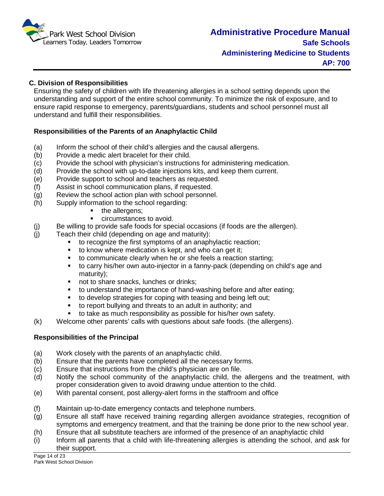

#### **C. Division of Responsibilities**

Ensuring the safety of children with life threatening allergies in a school setting depends upon the understanding and support of the entire school community. To minimize the risk of exposure, and to ensure rapid response to emergency, parents/guardians, students and school personnel must all understand and fulfill their responsibilities.

#### **Responsibilities of the Parents of an Anaphylactic Child**

- (a) Inform the school of their child's allergies and the causal allergens.<br>(b) Provide a medic alert bracelet for their child.
- Provide a medic alert bracelet for their child.
- (c) Provide the school with physician's instructions for administering medication.
- (d) Provide the school with up-to-date injections kits, and keep them current.
- (e) Provide support to school and teachers as requested.
- (f) Assist in school communication plans, if requested.
- (g) Review the school action plan with school personnel.
- (h) Supply information to the school regarding:
	- the allergens;
	- circumstances to avoid.
- (j) Be willing to provide safe foods for special occasions (if foods are the allergen).
- (j) Teach their child (depending on age and maturity):
	- to recognize the first symptoms of an anaphylactic reaction;
	- $\bullet$  to know where medication is kept, and who can get it;
	- to communicate clearly when he or she feels a reaction starting;
	- to carry his/her own auto-injector in a fanny-pack (depending on child's age and maturity);
	- not to share snacks, lunches or drinks;
	- to understand the importance of hand-washing before and after eating;
	- to develop strategies for coping with teasing and being left out;
	- to report bullying and threats to an adult in authority; and
	- to take as much responsibility as possible for his/her own safety.
- (k) Welcome other parents' calls with questions about safe foods. (the allergens).

#### **Responsibilities of the Principal**

- (a) Work closely with the parents of an anaphylactic child.
- (b) Ensure that the parents have completed all the necessary forms.
- (c) Ensure that instructions from the child's physician are on file.
- (d) Notify the school community of the anaphylactic child, the allergens and the treatment, with proper consideration given to avoid drawing undue attention to the child.
- (e) With parental consent, post allergy-alert forms in the staffroom and office
- (f) Maintain up-to-date emergency contacts and telephone numbers.
- (g) Ensure all staff have received training regarding allergen avoidance strategies, recognition of symptoms and emergency treatment, and that the training be done prior to the new school year.
- (h) Ensure that all substitute teachers are informed of the presence of an anaphylactic child
- (i) Inform all parents that a child with life-threatening allergies is attending the school, and ask for their support.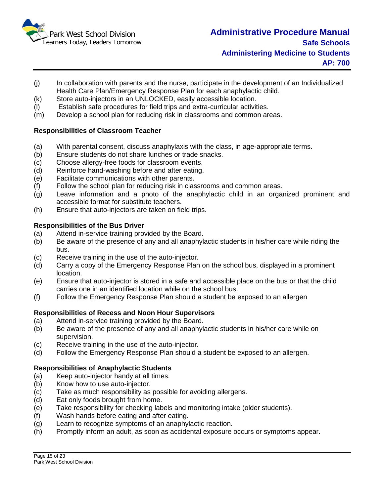

- (j) In collaboration with parents and the nurse, participate in the development of an Individualized Health Care Plan/Emergency Response Plan for each anaphylactic child.
- (k) Store auto-injectors in an UNLOCKED, easily accessible location.
- (l) Establish safe procedures for field trips and extra-curricular activities.
- (m) Develop a school plan for reducing risk in classrooms and common areas.

#### **Responsibilities of Classroom Teacher**

- (a) With parental consent, discuss anaphylaxis with the class, in age-appropriate terms.
- (b) Ensure students do not share lunches or trade snacks.
- (c) Choose allergy-free foods for classroom events.
- (d) Reinforce hand-washing before and after eating.
- (e) Facilitate communications with other parents.
- (f) Follow the school plan for reducing risk in classrooms and common areas.
- (g) Leave information and a photo of the anaphylactic child in an organized prominent and accessible format for substitute teachers.
- (h) Ensure that auto-injectors are taken on field trips.

#### **Responsibilities of the Bus Driver**

- (a) Attend in-service training provided by the Board.
- (b) Be aware of the presence of any and all anaphylactic students in his/her care while riding the bus.
- (c) Receive training in the use of the auto-injector.
- (d) Carry a copy of the Emergency Response Plan on the school bus, displayed in a prominent location.
- (e) Ensure that auto-injector is stored in a safe and accessible place on the bus or that the child carries one in an identified location while on the school bus.
- (f) Follow the Emergency Response Plan should a student be exposed to an allergen

#### **Responsibilities of Recess and Noon Hour Supervisors**

- (a) Attend in-service training provided by the Board.
- (b) Be aware of the presence of any and all anaphylactic students in his/her care while on supervision.
- (c) Receive training in the use of the auto-injector.
- (d) Follow the Emergency Response Plan should a student be exposed to an allergen.

#### **Responsibilities of Anaphylactic Students**

- (a) Keep auto-injector handy at all times.
- (b) Know how to use auto-injector.
- $\overline{c}$  Take as much responsibility as possible for avoiding allergens.<br>(d) Eat only foods brought from home.
- Eat only foods brought from home.
- (e) Take responsibility for checking labels and monitoring intake (older students).
- (f) Wash hands before eating and after eating.
- (g) Learn to recognize symptoms of an anaphylactic reaction.
- (h) Promptly inform an adult, as soon as accidental exposure occurs or symptoms appear.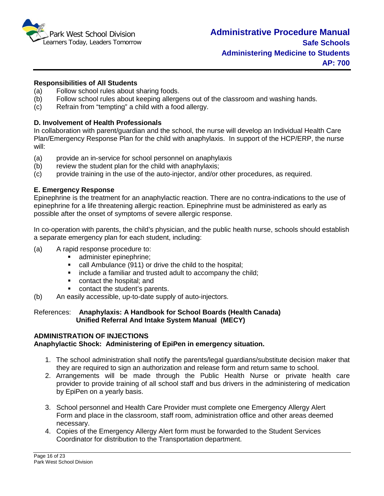

#### **Responsibilities of All Students**

- (a) Follow school rules about sharing foods.
- (b) Follow school rules about keeping allergens out of the classroom and washing hands.
- (c) Refrain from "tempting" a child with a food allergy.

#### **D. Involvement of Health Professionals**

In collaboration with parent/guardian and the school, the nurse will develop an Individual Health Care Plan/Emergency Response Plan for the child with anaphylaxis. In support of the HCP/ERP, the nurse will:

- (a) provide an in-service for school personnel on anaphylaxis
- (b) review the student plan for the child with anaphylaxis;
- (c) provide training in the use of the auto-injector, and/or other procedures, as required.

#### **E. Emergency Response**

Epinephrine is the treatment for an anaphylactic reaction. There are no contra-indications to the use of epinephrine for a life threatening allergic reaction. Epinephrine must be administered as early as possible after the onset of symptoms of severe allergic response.

In co-operation with parents, the child's physician, and the public health nurse, schools should establish a separate emergency plan for each student, including:

- (a) A rapid response procedure to:
	- administer epinephrine;
	- call Ambulance (911) or drive the child to the hospital;
	- **EXT** include a familiar and trusted adult to accompany the child:
	- **•** contact the hospital: and
	- **•** contact the student's parents.
- (b) An easily accessible, up-to-date supply of auto-injectors.

#### References: **Anaphylaxis: A Handbook for School Boards (Health Canada) Unified Referral And Intake System Manual (MECY)**

#### **ADMINISTRATION OF INJECTIONS Anaphylactic Shock: Administering of EpiPen in emergency situation.**

- 1. The school administration shall notify the parents/legal guardians/substitute decision maker that they are required to sign an authorization and release form and return same to school.
- 2. Arrangements will be made through the Public Health Nurse or private health care provider to provide training of all school staff and bus drivers in the administering of medication by EpiPen on a yearly basis.
- 3. School personnel and Health Care Provider must complete one Emergency Allergy Alert Form and place in the classroom, staff room, administration office and other areas deemed necessary.
- 4. Copies of the Emergency Allergy Alert form must be forwarded to the Student Services Coordinator for distribution to the Transportation department.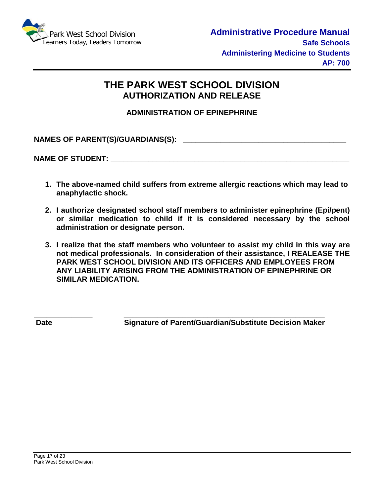

# **THE PARK WEST SCHOOL DIVISION AUTHORIZATION AND RELEASE**

**ADMINISTRATION OF EPINEPHRINE**

**NAMES OF PARENT(S)/GUARDIANS(S): \_\_\_\_\_\_\_\_\_\_\_\_\_\_\_\_\_\_\_\_\_\_\_\_\_\_\_\_\_\_\_\_\_\_\_\_\_\_\_**

NAME OF STUDENT:

- **1. The above-named child suffers from extreme allergic reactions which may lead to anaphylactic shock.**
- **2. I authorize designated school staff members to administer epinephrine (Epi/pent) or similar medication to child if it is considered necessary by the school administration or designate person.**
- **3. I realize that the staff members who volunteer to assist my child in this way are not medical professionals. In consideration of their assistance, I REALEASE THE PARK WEST SCHOOL DIVISION AND ITS OFFICERS AND EMPLOYEES FROM ANY LIABILITY ARISING FROM THE ADMINISTRATION OF EPINEPHRINE OR SIMILAR MEDICATION.**

**\_\_\_\_\_\_\_\_\_\_\_\_\_\_ \_\_\_\_\_\_\_\_\_\_\_\_\_\_\_\_\_\_\_\_\_\_\_\_\_\_\_\_\_\_\_\_\_\_\_\_\_\_\_\_\_\_\_\_\_\_\_\_** Date **Signature of Parent/Guardian/Substitute Decision Maker**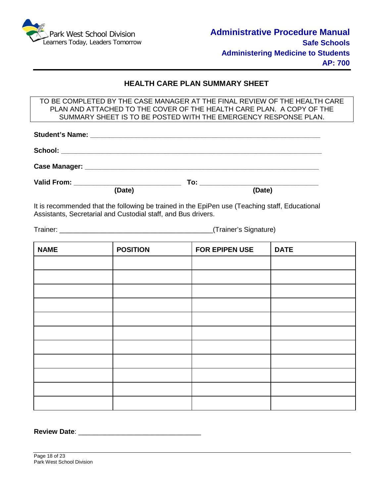

#### **HEALTH CARE PLAN SUMMARY SHEET**

TO BE COMPLETED BY THE CASE MANAGER AT THE FINAL REVIEW OF THE HEALTH CARE PLAN AND ATTACHED TO THE COVER OF THE HEALTH CARE PLAN. A COPY OF THE SUMMARY SHEET IS TO BE POSTED WITH THE EMERGENCY RESPONSE PLAN.

| Valid From: ________________________________ | To: __________________________ |  |  |  |  |
|----------------------------------------------|--------------------------------|--|--|--|--|
| (Date)                                       | (Date)                         |  |  |  |  |

It is recommended that the following be trained in the EpiPen use (Teaching staff, Educational Assistants, Secretarial and Custodial staff, and Bus drivers.

Trainer: \_\_\_\_\_\_\_\_\_\_\_\_\_\_\_\_\_\_\_\_\_\_\_\_\_\_\_\_\_\_\_\_\_\_\_\_\_\_\_\_(Trainer's Signature)

| <b>NAME</b> | <b>POSITION</b> | FOR EPIPEN USE | <b>DATE</b> |
|-------------|-----------------|----------------|-------------|
|             |                 |                |             |
|             |                 |                |             |
|             |                 |                |             |
|             |                 |                |             |
|             |                 |                |             |
|             |                 |                |             |
|             |                 |                |             |
|             |                 |                |             |
|             |                 |                |             |
|             |                 |                |             |
|             |                 |                |             |

**Review Date:**  $\blacksquare$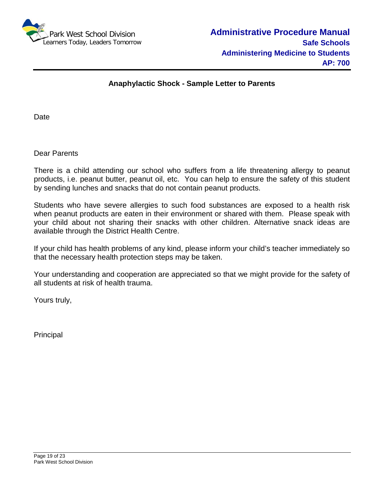

#### **Anaphylactic Shock - Sample Letter to Parents**

Date

Dear Parents

There is a child attending our school who suffers from a life threatening allergy to peanut products, i.e. peanut butter, peanut oil, etc. You can help to ensure the safety of this student by sending lunches and snacks that do not contain peanut products.

Students who have severe allergies to such food substances are exposed to a health risk when peanut products are eaten in their environment or shared with them. Please speak with your child about not sharing their snacks with other children. Alternative snack ideas are available through the District Health Centre.

If your child has health problems of any kind, please inform your child's teacher immediately so that the necessary health protection steps may be taken.

Your understanding and cooperation are appreciated so that we might provide for the safety of all students at risk of health trauma.

Yours truly,

Principal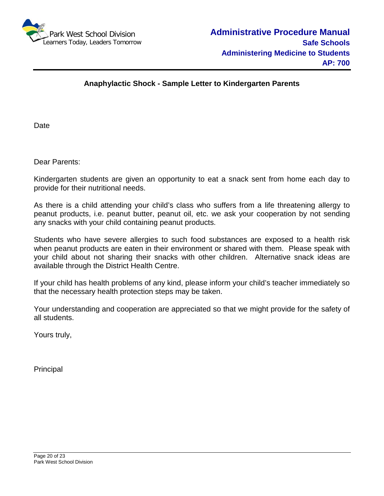

#### **Anaphylactic Shock - Sample Letter to Kindergarten Parents**

**Date** 

Dear Parents:

Kindergarten students are given an opportunity to eat a snack sent from home each day to provide for their nutritional needs.

As there is a child attending your child's class who suffers from a life threatening allergy to peanut products, i.e. peanut butter, peanut oil, etc. we ask your cooperation by not sending any snacks with your child containing peanut products.

Students who have severe allergies to such food substances are exposed to a health risk when peanut products are eaten in their environment or shared with them. Please speak with your child about not sharing their snacks with other children. Alternative snack ideas are available through the District Health Centre.

If your child has health problems of any kind, please inform your child's teacher immediately so that the necessary health protection steps may be taken.

Your understanding and cooperation are appreciated so that we might provide for the safety of all students.

Yours truly,

Principal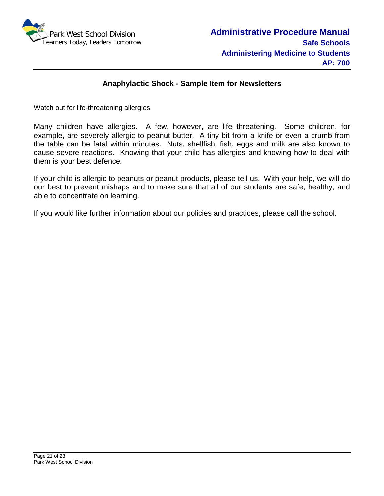

#### **Anaphylactic Shock - Sample Item for Newsletters**

Watch out for life-threatening allergies

Many children have allergies. A few, however, are life threatening. Some children, for example, are severely allergic to peanut butter. A tiny bit from a knife or even a crumb from the table can be fatal within minutes. Nuts, shellfish, fish, eggs and milk are also known to cause severe reactions. Knowing that your child has allergies and knowing how to deal with them is your best defence.

If your child is allergic to peanuts or peanut products, please tell us. With your help, we will do our best to prevent mishaps and to make sure that all of our students are safe, healthy, and able to concentrate on learning.

If you would like further information about our policies and practices, please call the school.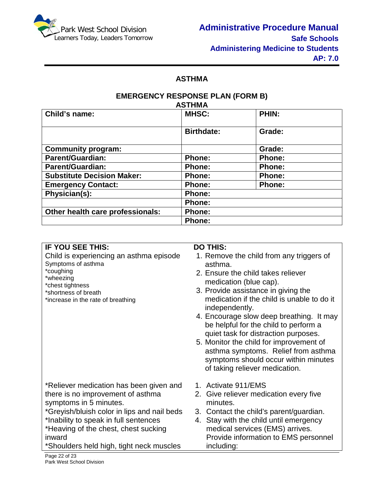

### **ASTHMA**

#### **EMERGENCY RESPONSE PLAN (FORM B) ASTHMA**

| Child's name:                     | <b>MHSC:</b>      | <b>PHIN:</b>  |
|-----------------------------------|-------------------|---------------|
|                                   | <b>Birthdate:</b> | Grade:        |
| <b>Community program:</b>         |                   | Grade:        |
| <b>Parent/Guardian:</b>           | <b>Phone:</b>     | Phone:        |
| <b>Parent/Guardian:</b>           | <b>Phone:</b>     | Phone:        |
| <b>Substitute Decision Maker:</b> | Phone:            | Phone:        |
| <b>Emergency Contact:</b>         | Phone:            | <b>Phone:</b> |
| Physician(s):                     | <b>Phone:</b>     |               |
|                                   | <b>Phone:</b>     |               |
| Other health care professionals:  | <b>Phone:</b>     |               |
|                                   | <b>Phone:</b>     |               |

| <b>IF YOU SEE THIS:</b>                                                                                                                                                                                                                                                                      | <b>DO THIS:</b>                                                                                                                                                                                                                                                                                                                                                                                                                                                                                                     |
|----------------------------------------------------------------------------------------------------------------------------------------------------------------------------------------------------------------------------------------------------------------------------------------------|---------------------------------------------------------------------------------------------------------------------------------------------------------------------------------------------------------------------------------------------------------------------------------------------------------------------------------------------------------------------------------------------------------------------------------------------------------------------------------------------------------------------|
| Child is experiencing an asthma episode<br>Symptoms of asthma<br>*coughing<br>*wheezing<br>*chest tightness<br>*shortness of breath<br>*increase in the rate of breathing                                                                                                                    | 1. Remove the child from any triggers of<br>asthma.<br>2. Ensure the child takes reliever<br>medication (blue cap).<br>3. Provide assistance in giving the<br>medication if the child is unable to do it<br>independently.<br>4. Encourage slow deep breathing. It may<br>be helpful for the child to perform a<br>quiet task for distraction purposes.<br>5. Monitor the child for improvement of<br>asthma symptoms. Relief from asthma<br>symptoms should occur within minutes<br>of taking reliever medication. |
| *Reliever medication has been given and<br>there is no improvement of asthma<br>symptoms in 5 minutes.<br>*Greyish/bluish color in lips and nail beds<br>*Inability to speak in full sentences<br>*Heaving of the chest, chest sucking<br>inward<br>*Shoulders held high, tight neck muscles | 1. Activate 911/EMS<br>2. Give reliever medication every five<br>minutes.<br>3. Contact the child's parent/guardian.<br>4. Stay with the child until emergency<br>medical services (EMS) arrives.<br>Provide information to EMS personnel<br>including:                                                                                                                                                                                                                                                             |